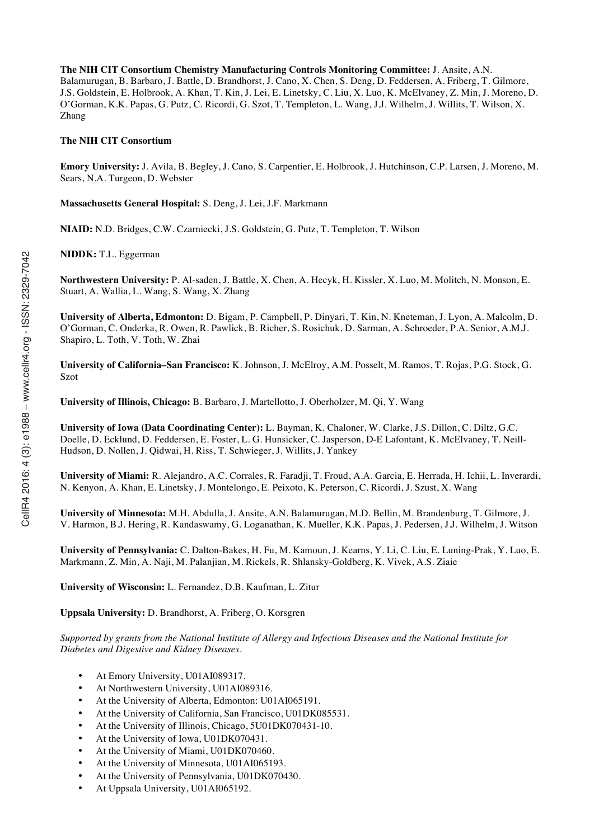**The NIH CIT Consortium Chemistry Manufacturing Controls Monitoring Committee:** J. Ansite, A.N. Balamurugan, B. Barbaro, J. Battle, D. Brandhorst, J. Cano, X. Chen, S. Deng, D. Feddersen, A. Friberg, T. Gilmore, J.S. Goldstein, E. Holbrook, A. Khan, T. Kin, J. Lei, E. Linetsky, C. Liu, X. Luo, K. McElvaney, Z. Min, J. Moreno, D. O'Gorman, K.K. Papas, G. Putz, C. Ricordi, G. Szot, T. Templeton, L. Wang, J.J. Wilhelm, J. Willits, T. Wilson, X. Zhang

# **The NIH CIT Consortium**

**Emory University:** J. Avila, B. Begley, J. Cano, S. Carpentier, E. Holbrook, J. Hutchinson, C.P. Larsen, J. Moreno, M. Sears, N.A. Turgeon, D. Webster

**Massachusetts General Hospital:** S. Deng, J. Lei, J.F. Markmann

**NIAID:** N.D. Bridges, C.W. Czarniecki, J.S. Goldstein, G. Putz, T. Templeton, T. Wilson

**NIDDK:** T.L. Eggerman

**Northwestern University:** P. Al-saden, J. Battle, X. Chen, A. Hecyk, H. Kissler, X. Luo, M. Molitch, N. Monson, E. Stuart, A. Wallia, L. Wang, S. Wang, X. Zhang

**University of Alberta, Edmonton:** D. Bigam, P. Campbell, P. Dinyari, T. Kin, N. Kneteman, J. Lyon, A. Malcolm, D. O'Gorman, C. Onderka, R. Owen, R. Pawlick, B. Richer, S. Rosichuk, D. Sarman, A. Schroeder, P.A. Senior, A.M.J. Shapiro, L. Toth, V. Toth, W. Zhai

**University of California–San Francisco:** K. Johnson, J. McElroy, A.M. Posselt, M. Ramos, T. Rojas, P.G. Stock, G. Szot

**University of Illinois, Chicago:** B. Barbaro, J. Martellotto, J. Oberholzer, M. Qi, Y. Wang

**University of Iowa (Data Coordinating Center):** L. Bayman, K. Chaloner, W. Clarke, J.S. Dillon, C. Diltz, G.C. Doelle, D. Ecklund, D. Feddersen, E. Foster, L. G. Hunsicker, C. Jasperson, D-E Lafontant, K. McElvaney, T. Neill-Hudson, D. Nollen, J. Qidwai, H. Riss, T. Schwieger, J. Willits, J. Yankey

**University of Miami:** R. Alejandro, A.C. Corrales, R. Faradji, T. Froud, A.A. Garcia, E. Herrada, H. Ichii, L. Inverardi, N. Kenyon, A. Khan, E. Linetsky, J. Montelongo, E. Peixoto, K. Peterson, C. Ricordi, J. Szust, X. Wang

**University of Minnesota:** M.H. Abdulla, J. Ansite, A.N. Balamurugan, M.D. Bellin, M. Brandenburg, T. Gilmore, J. V. Harmon, B.J. Hering, R. Kandaswamy, G. Loganathan, K. Mueller, K.K. Papas, J. Pedersen, J.J. Wilhelm, J. Witson

**University of Pennsylvania:** C. Dalton-Bakes, H. Fu, M. Kamoun, J. Kearns, Y. Li, C. Liu, E. Luning-Prak, Y. Luo, E. Markmann, Z. Min, A. Naji, M. Palanjian, M. Rickels, R. Shlansky-Goldberg, K. Vivek, A.S. Ziaie

**University of Wisconsin:** L. Fernandez, D.B. Kaufman, L. Zitur

**Uppsala University:** D. Brandhorst, A. Friberg, O. Korsgren

*Supported by grants from the National Institute of Allergy and Infectious Diseases and the National Institute for Diabetes and Digestive and Kidney Diseases.*

- At Emory University, U01AI089317.
- At Northwestern University, U01AI089316.
- At the University of Alberta, Edmonton: U01AI065191.
- At the University of California, San Francisco, U01DK085531.
- At the University of Illinois, Chicago, 5U01DK070431-10.
- At the University of Iowa, U01DK070431.
- At the University of Miami, U01DK070460.
- At the University of Minnesota, U01AI065193.
- At the University of Pennsylvania, U01DK070430.
- At Uppsala University, U01AI065192.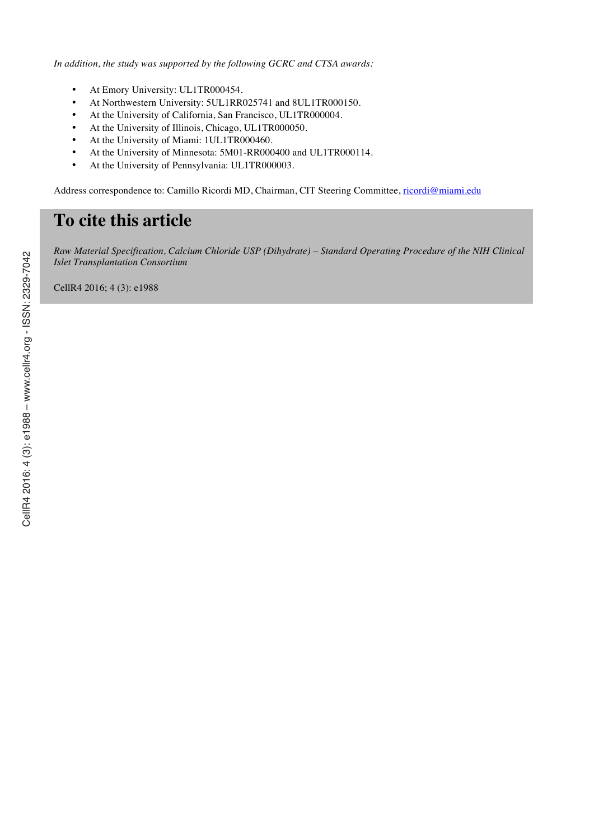*In addition, the study was supported by the following GCRC and CTSA awards:*

- At Emory University: UL1TR000454.
- At Northwestern University: 5UL1RR025741 and 8UL1TR000150.
- At the University of California, San Francisco, UL1TR000004.
- At the University of Illinois, Chicago, UL1TR000050.
- At the University of Miami: 1UL1TR000460.
- At the University of Minnesota: 5M01-RR000400 and UL1TR000114.
- At the University of Pennsylvania: UL1TR000003.

Address correspondence to: Camillo Ricordi MD, Chairman, CIT Steering Committee, ricordi@miami.edu

# **To cite this article**

*Raw Material Specification, Calcium Chloride USP (Dihydrate) – Standard Operating Procedure of the NIH Clinical Islet Transplantation Consortium*

CellR4 2016; 4 (3): e1988